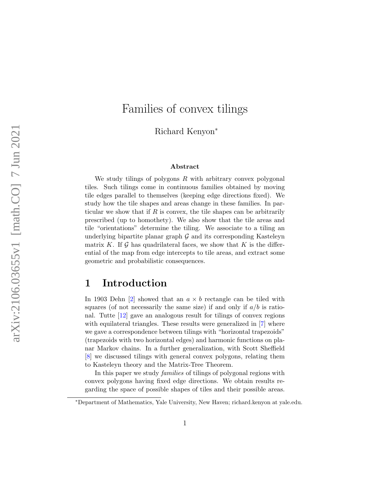# Families of convex tilings

Richard Kenyon<sup>∗</sup>

#### Abstract

We study tilings of polygons  $R$  with arbitrary convex polygonal tiles. Such tilings come in continuous families obtained by moving tile edges parallel to themselves (keeping edge directions fixed). We study how the tile shapes and areas change in these families. In particular we show that if  $R$  is convex, the tile shapes can be arbitrarily prescribed (up to homothety). We also show that the tile areas and tile "orientations" determine the tiling. We associate to a tiling an underlying bipartite planar graph  $\mathcal G$  and its corresponding Kasteleyn matrix K. If  $\mathcal G$  has quadrilateral faces, we show that K is the differential of the map from edge intercepts to tile areas, and extract some geometric and probabilistic consequences.

### 1 Introduction

In 1903 Dehn [\[2\]](#page-17-0) showed that an  $a \times b$  rectangle can be tiled with squares (of not necessarily the same size) if and only if  $a/b$  is rational. Tutte [\[12\]](#page-17-1) gave an analogous result for tilings of convex regions with equilateral triangles. These results were generalized in [\[7\]](#page-17-2) where we gave a correspondence between tilings with "horizontal trapezoids" (trapezoids with two horizontal edges) and harmonic functions on planar Markov chains. In a further generalization, with Scott Sheffield [\[8\]](#page-17-3) we discussed tilings with general convex polygons, relating them to Kasteleyn theory and the Matrix-Tree Theorem.

In this paper we study *families* of tilings of polygonal regions with convex polygons having fixed edge directions. We obtain results regarding the space of possible shapes of tiles and their possible areas.

<sup>∗</sup>Department of Mathematics, Yale University, New Haven; richard.kenyon at yale.edu.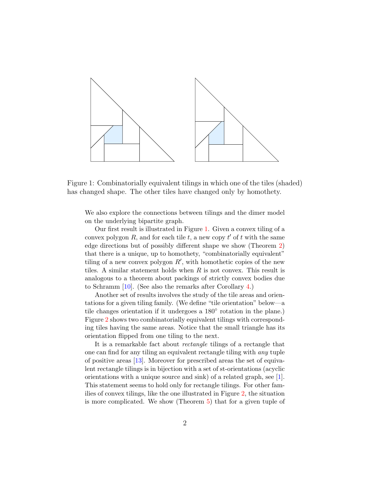

<span id="page-1-0"></span>Figure 1: Combinatorially equivalent tilings in which one of the tiles (shaded) has changed shape. The other tiles have changed only by homothety.

We also explore the connections between tilings and the dimer model on the underlying bipartite graph.

Our first result is illustrated in Figure [1.](#page-1-0) Given a convex tiling of a convex polygon  $R$ , and for each tile  $t$ , a new copy  $t'$  of  $t$  with the same edge directions but of possibly different shape we show (Theorem [2\)](#page-9-0) that there is a unique, up to homothety, "combinatorially equivalent" tiling of a new convex polygon  $R'$ , with homothetic copies of the new tiles. A similar statement holds when  $R$  is not convex. This result is analogous to a theorem about packings of strictly convex bodies due to Schramm [\[10\]](#page-17-4). (See also the remarks after Corollary [4.](#page-12-0))

Another set of results involves the study of the tile areas and orientations for a given tiling family. (We define "tile orientation" below—a tile changes orientation if it undergoes a 180° rotation in the plane.) Figure [2](#page-2-0) shows two combinatorially equivalent tilings with corresponding tiles having the same areas. Notice that the small triangle has its orientation flipped from one tiling to the next.

It is a remarkable fact about rectangle tilings of a rectangle that one can find for any tiling an equivalent rectangle tiling with any tuple of positive areas [\[13\]](#page-18-0). Moreover for prescribed areas the set of equivalent rectangle tilings is in bijection with a set of st-orientations (acyclic orientations with a unique source and sink) of a related graph, see [\[1\]](#page-17-5). This statement seems to hold only for rectangle tilings. For other families of convex tilings, like the one illustrated in Figure [2,](#page-2-0) the situation is more complicated. We show (Theorem [5\)](#page-12-1) that for a given tuple of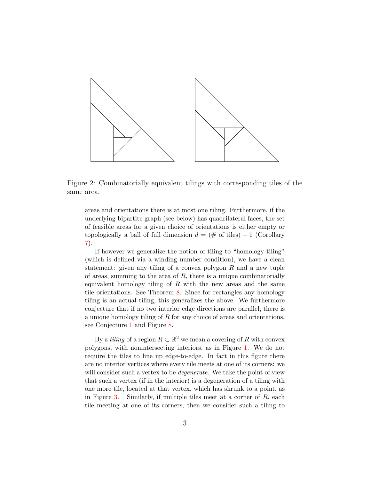

<span id="page-2-0"></span>Figure 2: Combinatorially equivalent tilings with corresponding tiles of the same area.

areas and orientations there is at most one tiling. Furthermore, if the underlying bipartite graph (see below) has quadrilateral faces, the set of feasible areas for a given choice of orientations is either empty or topologically a ball of full dimension  $d = (\# \text{ of tiles}) - 1$  (Corollary [7\)](#page-14-0).

If however we generalize the notion of tiling to "homology tiling" (which is defined via a winding number condition), we have a clean statement: given any tiling of a convex polygon  $R$  and a new tuple of areas, summing to the area of  $R$ , there is a unique combinatorially equivalent homology tiling of  $R$  with the new areas and the same tile orientations. See Theorem [8.](#page-15-0) Since for rectangles any homology tiling is an actual tiling, this generalizes the above. We furthermore conjecture that if no two interior edge directions are parallel, there is a unique homology tiling of  $R$  for any choice of areas and orientations, see Conjecture [1](#page-16-0) and Figure [8.](#page-16-1)

By a *tiling* of a region  $R \subset \mathbb{R}^2$  we mean a covering of R with convex polygons, with nonintersecting interiors, as in Figure [1.](#page-1-0) We do not require the tiles to line up edge-to-edge. In fact in this figure there are no interior vertices where every tile meets at one of its corners: we will consider such a vertex to be *degenerate*. We take the point of view that such a vertex (if in the interior) is a degeneration of a tiling with one more tile, located at that vertex, which has shrunk to a point, as in Figure [3.](#page-3-0) Similarly, if multiple tiles meet at a corner of  $R$ , each tile meeting at one of its corners, then we consider such a tiling to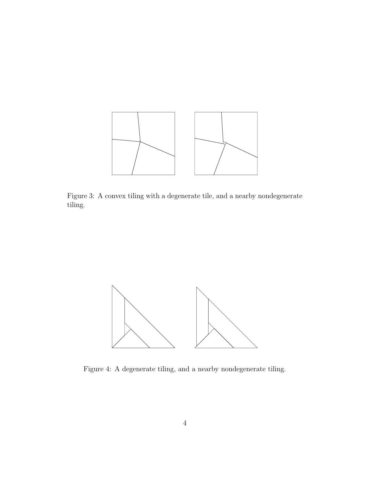

<span id="page-3-0"></span>Figure 3: A convex tiling with a degenerate tile, and a nearby nondegenerate tiling.



<span id="page-3-1"></span>Figure 4: A degenerate tiling, and a nearby nondegenerate tiling.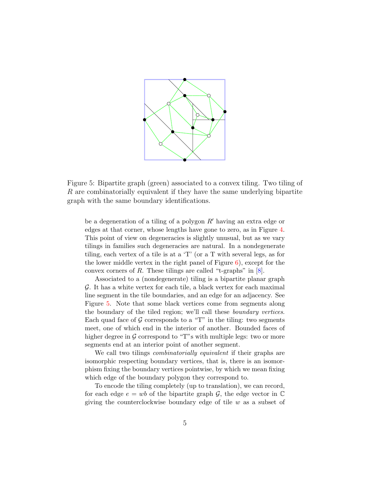

<span id="page-4-0"></span>Figure 5: Bipartite graph (green) associated to a convex tiling. Two tiling of R are combinatorially equivalent if they have the same underlying bipartite graph with the same boundary identifications.

be a degeneration of a tiling of a polygon  $R'$  having an extra edge or edges at that corner, whose lengths have gone to zero, as in Figure [4.](#page-3-1) This point of view on degeneracies is slightly unusual, but as we vary tilings in families such degeneracies are natural. In a nondegenerate tiling, each vertex of a tile is at a 'T' (or a T with several legs, as for the lower middle vertex in the right panel of Figure  $6$ ), except for the convex corners of R. These tilings are called "t-graphs" in  $[8]$ .

Associated to a (nondegenerate) tiling is a bipartite planar graph G. It has a white vertex for each tile, a black vertex for each maximal line segment in the tile boundaries, and an edge for an adjacency. See Figure [5.](#page-4-0) Note that some black vertices come from segments along the boundary of the tiled region; we'll call these boundary vertices. Each quad face of  $\mathcal G$  corresponds to a "T" in the tiling: two segments meet, one of which end in the interior of another. Bounded faces of higher degree in  $\mathcal G$  correspond to "T"s with multiple legs: two or more segments end at an interior point of another segment.

We call two tilings *combinatorially equivalent* if their graphs are isomorphic respecting boundary vertices, that is, there is an isomorphism fixing the boundary vertices pointwise, by which we mean fixing which edge of the boundary polygon they correspond to.

To encode the tiling completely (up to translation), we can record, for each edge  $e = wb$  of the bipartite graph  $G$ , the edge vector in  $\mathbb C$ giving the counterclockwise boundary edge of tile  $w$  as a subset of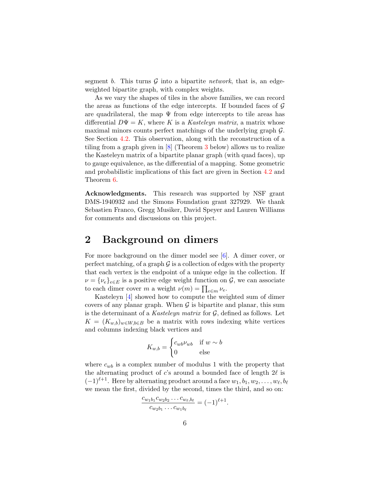segment b. This turns  $G$  into a bipartite *network*, that is, an edgeweighted bipartite graph, with complex weights.

As we vary the shapes of tiles in the above families, we can record the areas as functions of the edge intercepts. If bounded faces of  $\mathcal G$ are quadrilateral, the map  $\Psi$  from edge intercepts to tile areas has differential  $D\Psi = K$ , where K is a Kasteleyn matrix, a matrix whose maximal minors counts perfect matchings of the underlying graph G. See Section [4.2.](#page-13-0) This observation, along with the reconstruction of a tiling from a graph given in [\[8\]](#page-17-3) (Theorem [3](#page-10-0) below) allows us to realize the Kasteleyn matrix of a bipartite planar graph (with quad faces), up to gauge equivalence, as the differential of a mapping. Some geometric and probabilistic implications of this fact are given in Section [4.2](#page-13-0) and Theorem [6.](#page-14-1)

Acknowledgments. This research was supported by NSF grant DMS-1940932 and the Simons Foundation grant 327929. We thank Sebastien Franco, Gregg Musiker, David Speyer and Lauren Williams for comments and discussions on this project.

## 2 Background on dimers

For more background on the dimer model see [\[6\]](#page-17-6). A dimer cover, or perfect matching, of a graph  $\mathcal G$  is a collection of edges with the property that each vertex is the endpoint of a unique edge in the collection. If  $\nu = {\{\nu_e\}}_{e \in E}$  is a positive edge weight function on  $\mathcal{G}$ , we can associate to each dimer cover m a weight  $\nu(m) = \prod_{e \in m} \nu_e$ .

Kasteleyn [\[4\]](#page-17-7) showed how to compute the weighted sum of dimer covers of any planar graph. When  $\mathcal G$  is bipartite and planar, this sum is the determinant of a Kasteleyn matrix for  $\mathcal{G}$ , defined as follows. Let  $K = (K_{w,b})_{w \in W, b \in B}$  be a matrix with rows indexing white vertices and columns indexing black vertices and

$$
K_{w,b} = \begin{cases} c_{wb}\nu_{wb} & \text{if } w \sim b\\ 0 & \text{else} \end{cases}
$$

where  $c_{wb}$  is a complex number of modulus 1 with the property that the alternating product of  $c$ 's around a bounded face of length  $2\ell$  is  $(-1)^{\ell+1}$ . Here by alternating product around a face  $w_1, b_1, w_2, \ldots, w_{\ell}, b_{\ell}$ we mean the first, divided by the second, times the third, and so on:

$$
\frac{c_{w_1b_1}c_{w_2b_2}\dots c_{w_{\ell},b_{\ell}}}{c_{w_2b_1}\dots c_{w_1b_{\ell}}} = (-1)^{\ell+1}.
$$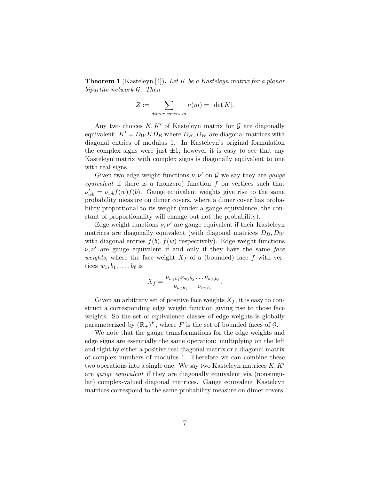<span id="page-6-0"></span>**Theorem 1** (Kasteleyn [\[4\]](#page-17-7)). Let K be a Kasteleyn matrix for a planar bipartite network G. Then

$$
Z := \sum_{dimer\ covers\ m} \nu(m) = |\det K|.
$$

Any two choices  $K, K'$  of Kasteleyn matrix for  $G$  are diagonally equivalent:  $K' = D_W K D_B$  where  $D_B, D_W$  are diagonal matrices with diagonal entries of modulus 1. In Kasteleyn's original formulation the complex signs were just  $\pm 1$ ; however it is easy to see that any Kasteleyn matrix with complex signs is diagonally equivalent to one with real signs.

Given two edge weight functions  $\nu, \nu'$  on G we say they are gauge equivalent if there is a (nonzero) function f on vertices such that  $\nu'_{wb} = \nu_{wb} f(w) f(b)$ . Gauge equivalent weights give rise to the same probability measure on dimer covers, where a dimer cover has probability proportional to its weight (under a gauge equivalence, the constant of proportionality will change but not the probability).

Edge weight functions  $\nu, \nu'$  are gauge equivalent if their Kasteleyn matrices are diagonally equivalent (with diagonal matrices  $D_B$ ,  $D_W$ with diagonal entries  $f(b), f(w)$  respectively). Edge weight functions  $\nu, \nu'$  are gauge equivalent if and only if they have the same face *weights*, where the face weight  $X_f$  of a (bounded) face f with vertices  $w_1, b_1, \ldots, b_\ell$  is

$$
X_f = \frac{\nu_{w_1b_1}\nu_{w_2b_2}\dots\nu_{w_\ell,b_\ell}}{\nu_{w_2b_1}\dots\nu_{w_1b_\ell}}.
$$

Given an arbitrary set of positive face weights  $X_f$ , it is easy to construct a corresponding edge weight function giving rise to those face weights. So the set of equivalence classes of edge weights is globally parameterized by  $(\mathbb{R}_+)^F$ , where F is the set of bounded faces of  $\mathcal{G}$ .

We note that the gauge transformations for the edge weights and edge signs are essentially the same operation: multiplying on the left and right by either a positive real diagonal matrix or a diagonal matrix of complex numbers of modulus 1. Therefore we can combine these two operations into a single one. We say two Kasteleyn matrices  $K, K'$ are gauge equivalent if they are diagonally equivalent via (nonsingular) complex-valued diagonal matrices. Gauge equivalent Kasteleyn matrices correspond to the same probability measure on dimer covers.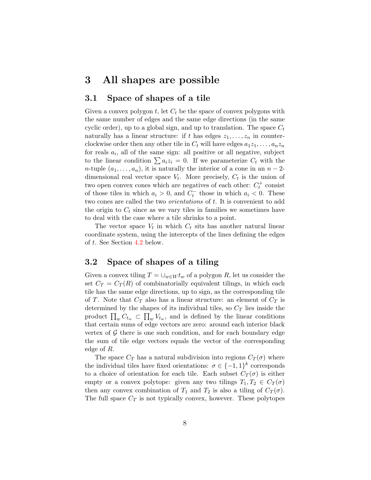### 3 All shapes are possible

#### 3.1 Space of shapes of a tile

Given a convex polygon  $t$ , let  $C_t$  be the space of convex polygons with the same number of edges and the same edge directions (in the same cyclic order), up to a global sign, and up to translation. The space  $C_t$ naturally has a linear structure: if t has edges  $z_1, \ldots, z_n$  in counterclockwise order then any other tile in  $C_t$  will have edges  $a_1z_1, \ldots, a_nz_n$ for reals  $a_i$ , all of the same sign: all positive or all negative, subject to the linear condition  $\sum a_i z_i = 0$ . If we parameterize  $C_t$  with the *n*-tuple  $(a_1, \ldots, a_n)$ , it is naturally the interior of a cone in an  $n-2$ dimensional real vector space  $V_t$ . More precisely,  $C_t$  is the union of two open convex cones which are negatives of each other:  $C_t^+$  consist of those tiles in which  $a_i > 0$ , and  $C_t^-$  those in which  $a_i < 0$ . These two cones are called the two *orientations* of t. It is convenient to add the origin to  $C_t$  since as we vary tiles in families we sometimes have to deal with the case where a tile shrinks to a point.

The vector space  $V_t$  in which  $C_t$  sits has another natural linear coordinate system, using the intercepts of the lines defining the edges of t. See Section [4.2](#page-13-0) below.

### 3.2 Space of shapes of a tiling

Given a convex tiling  $T = \bigcup_{w \in W} t_w$  of a polygon R, let us consider the set  $C_T = C_T(R)$  of combinatorially equivalent tilings, in which each tile has the same edge directions, up to sign, as the corresponding tile of T. Note that  $C_T$  also has a linear structure: an element of  $C_T$  is determined by the shapes of its individual tiles, so  $C_T$  lies inside the product  $\prod_w C_{t_w} \subset \prod_w V_{t_w}$ , and is defined by the linear conditions that certain sums of edge vectors are zero: around each interior black vertex of  $G$  there is one such condition, and for each boundary edge the sum of tile edge vectors equals the vector of the corresponding edge of R.

The space  $C_T$  has a natural subdivision into regions  $C_T(\sigma)$  where the individual tiles have fixed orientations:  $\sigma \in \{-1,1\}^k$  corresponds to a choice of orientation for each tile. Each subset  $C_T(\sigma)$  is either empty or a convex polytope: given any two tilings  $T_1, T_2 \in C_T(\sigma)$ then any convex combination of  $T_1$  and  $T_2$  is also a tiling of  $C_T(\sigma)$ . The full space  $C_T$  is not typically convex, however. These polytopes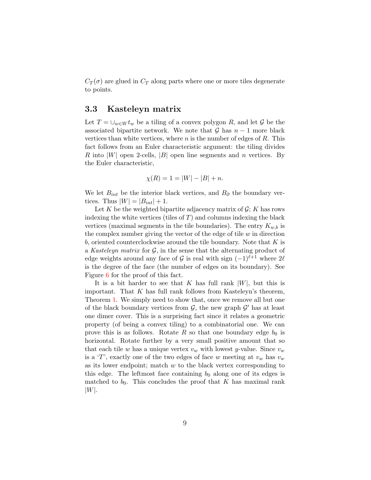$C_T(\sigma)$  are glued in  $C_T$  along parts where one or more tiles degenerate to points.

### 3.3 Kasteleyn matrix

Let  $T = \bigcup_{w \in W} t_w$  be a tiling of a convex polygon R, and let G be the associated bipartite network. We note that  $\mathcal G$  has  $n-1$  more black vertices than white vertices, where  $n$  is the number of edges of  $R$ . This fact follows from an Euler characteristic argument: the tiling divides R into  $|W|$  open 2-cells,  $|B|$  open line segments and n vertices. By the Euler characteristic,

$$
\chi(R) = 1 = |W| - |B| + n.
$$

We let  $B_{int}$  be the interior black vertices, and  $B_{\partial}$  the boundary vertices. Thus  $|W| = |B_{int}| + 1$ .

Let K be the weighted bipartite adjacency matrix of  $\mathcal{G}$ ; K has rows indexing the white vertices (tiles of  $T$ ) and columns indexing the black vertices (maximal segments in the tile boundaries). The entry  $K_{w,b}$  is the complex number giving the vector of the edge of tile  $w$  in direction b, oriented counterclockwise around the tile boundary. Note that  $K$  is a Kasteleyn matrix for  $\mathcal{G}$ , in the sense that the alternating product of edge weights around any face of G is real with sign  $(-1)^{\ell+1}$  where  $2\ell$ is the degree of the face (the number of edges on its boundary). See Figure [6](#page-9-1) for the proof of this fact.

It is a bit harder to see that K has full rank  $|W|$ , but this is important. That  $K$  has full rank follows from Kasteleyn's theorem, Theorem [1.](#page-6-0) We simply need to show that, once we remove all but one of the black boundary vertices from  $\mathcal{G}$ , the new graph  $\mathcal{G}'$  has at least one dimer cover. This is a surprising fact since it relates a geometric property (of being a convex tiling) to a combinatorial one. We can prove this is as follows. Rotate R so that one boundary edge  $b_0$  is horizontal. Rotate further by a very small positive amount that so that each tile w has a unique vertex  $v_w$  with lowest y-value. Since  $v_w$ is a 'T', exactly one of the two edges of face w meeting at  $v_w$  has  $v_w$ as its lower endpoint; match  $w$  to the black vertex corresponding to this edge. The leftmost face containing  $b_0$  along one of its edges is matched to  $b_0$ . This concludes the proof that K has maximal rank  $|W|.$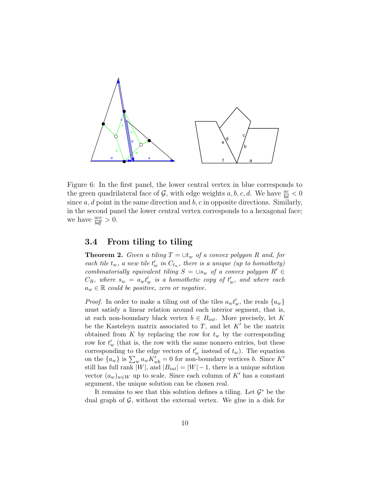

<span id="page-9-1"></span>Figure 6: In the first panel, the lower central vertex in blue corresponds to the green quadrilateral face of  $\mathcal{G}$ , with edge weights  $a, b, c, d$ . We have  $\frac{ac}{bd} < 0$ since  $a, d$  point in the same direction and  $b, c$  in opposite directions. Similarly, in the second panel the lower central vertex corresponds to a hexagonal face; we have  $\frac{ace}{bdf} > 0$ .

#### 3.4 From tiling to tiling

<span id="page-9-0"></span>**Theorem 2.** Given a tiling  $T = \bigcup_{w \text{ of } a \text{ convex polygon } R$  and, for each tile  $t_w$ , a new tile  $t'_w$  in  $C_{t_w}$ , there is a unique (up to homothety) combinatorially equivalent tiling  $S = \cup s_w$  of a convex polygon  $R' \in$  $C_R$ , where  $s_w = a_w t'_w$  is a homothetic copy of  $t'_w$ , and where each  $a_w \in \mathbb{R}$  could be positive, zero or negative.

*Proof.* In order to make a tiling out of the tiles  $a_w t'_w$ , the reals  $\{a_w\}$ must satisfy a linear relation around each interior segment, that is, at each non-boundary black vertex  $b \in B_{int}$ . More precisely, let K be the Kasteleyn matrix associated to  $T$ , and let  $K'$  be the matrix obtained from K by replacing the row for  $t_w$  by the corresponding row for  $t'_w$  (that is, the row with the same nonzero entries, but these corresponding to the edge vectors of  $t_w'$  instead of  $t_w$ ). The equation on the  $\{a_w\}$  is  $\sum_w a_w K_{wb}' = 0$  for non-boundary vertices b. Since  $K'$ still has full rank  $|W|$ , and  $|B_{int}| = |W| - 1$ , there is a unique solution vector  $(a_w)_{w\in W}$  up to scale. Since each column of K' has a constant argument, the unique solution can be chosen real.

It remains to see that this solution defines a tiling. Let  $\mathcal{G}^*$  be the dual graph of  $\mathcal{G}$ , without the external vertex. We glue in a disk for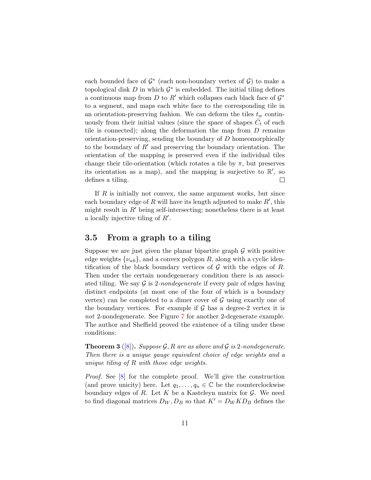each bounded face of  $\mathcal{G}^*$  (each non-boundary vertex of  $\mathcal{G}$ ) to make a topological disk  $D$  in which  $\mathcal{G}^*$  is embedded. The initial tiling defines a continuous map from D to R' which collapses each black face of  $\mathcal{G}^*$ to a segment, and maps each white face to the corresponding tile in an orientation-preserving fashion. We can deform the tiles  $t_w$  continuously from their initial values (since the space of shapes  $\bar{C}_t$  of each tile is connected); along the deformation the map from  $D$  remains orientation-preserving, sending the boundary of  $D$  homeomorphically to the boundary of  $R'$  and preserving the boundary orientation. The orientation of the mapping is preserved even if the individual tiles change their tile-orientation (which rotates a tile by  $\pi$ , but preserves its orientation as a map), and the mapping is surjective to  $\mathbb{R}'$ , so defines a tiling.  $\Box$ 

If  $R$  is initially not convex, the same argument works, but since each boundary edge of  $R$  will have its length adjusted to make  $R'$ , this might result in  $R'$  being self-intersecting; nonetheless there is at least a locally injective tiling of  $R'$ .

### 3.5 From a graph to a tiling

Suppose we are just given the planar bipartite graph  $\mathcal G$  with positive edge weights  $\{\nu_{wb}\}$ , and a convex polygon R, along with a cyclic identification of the black boundary vertices of  $G$  with the edges of R. Then under the certain nondegeneracy condition there is an associated tiling. We say  $\mathcal G$  is 2-nondegenerate if every pair of edges having distinct endpoints (at most one of the four of which is a boundary vertex) can be completed to a dimer cover of  $\mathcal G$  using exactly one of the boundary vertices. For example if  $\mathcal G$  has a degree-2 vertex it is not 2-nondegenerate. See Figure [7](#page-11-0) for another 2-degenerate example. The author and Sheffield proved the existence of a tiling under these conditions:

<span id="page-10-0"></span>**Theorem 3** ([\[8\]](#page-17-3)). Suppose G, R are as above and G is 2-nondegenerate. Then there is a unique gauge equivalent choice of edge weights and a unique tiling of R with those edge weights.

Proof. See [\[8\]](#page-17-3) for the complete proof. We'll give the construction (and prove unicity) here. Let  $q_1, \ldots, q_n \in \mathbb{C}$  be the counterclockwise boundary edges of  $R$ . Let  $K$  be a Kasteleyn matrix for  $G$ . We need to find diagonal matrices  $D_W, D_B$  so that  $K' = D_W K D_B$  defines the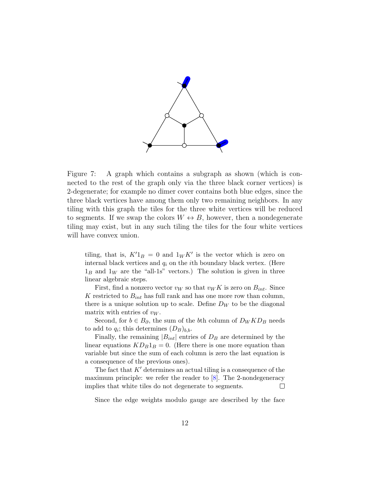

<span id="page-11-0"></span>Figure 7: A graph which contains a subgraph as shown (which is connected to the rest of the graph only via the three black corner vertices) is 2-degenerate; for example no dimer cover contains both blue edges, since the three black vertices have among them only two remaining neighbors. In any tiling with this graph the tiles for the three white vertices will be reduced to segments. If we swap the colors  $W \leftrightarrow B$ , however, then a nondegenerate tiling may exist, but in any such tiling the tiles for the four white vertices will have convex union.

tiling, that is,  $K'1_B = 0$  and  $1_W K'$  is the vector which is zero on internal black vertices and  $q_i$  on the *i*th boundary black vertex. (Here  $1_B$  and  $1_W$  are the "all-1s" vectors.) The solution is given in three linear algebraic steps.

First, find a nonzero vector  $v_W$  so that  $v_W K$  is zero on  $B_{int}$ . Since K restricted to  $B_{int}$  has full rank and has one more row than column, there is a unique solution up to scale. Define  $D_W$  to be the diagonal matrix with entries of  $v_W$ .

Second, for  $b \in B_{\partial}$ , the sum of the bth column of  $D_W K D_B$  needs to add to  $q_i$ ; this determines  $(D_B)_{b,b}$ .

Finally, the remaining  $|B_{int}|$  entries of  $D_B$  are determined by the linear equations  $KD_B1_B = 0$ . (Here there is one more equation than variable but since the sum of each column is zero the last equation is a consequence of the previous ones).

The fact that  $K'$  determines an actual tiling is a consequence of the maximum principle: we refer the reader to [\[8\]](#page-17-3). The 2-nondegeneracy implies that white tiles do not degenerate to segments.  $\Box$ 

Since the edge weights modulo gauge are described by the face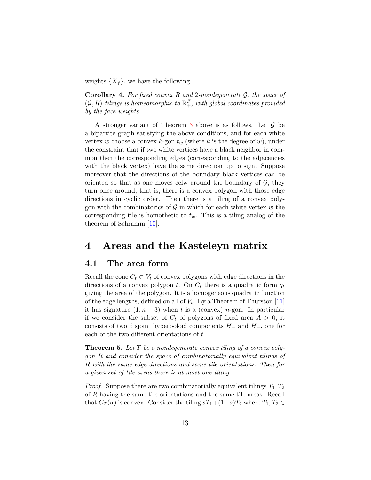weights  $\{X_f\}$ , we have the following.

<span id="page-12-0"></span>**Corollary 4.** For fixed convex R and 2-nondegenerate  $\mathcal{G}$ , the space of  $(\mathcal{G},R)$ -tilings is homeomorphic to  $\mathbb{R}^F_+$ , with global coordinates provided by the face weights.

A stronger variant of Theorem [3](#page-10-0) above is as follows. Let  $\mathcal G$  be a bipartite graph satisfying the above conditions, and for each white vertex w choose a convex k-gon  $t_w$  (where k is the degree of w), under the constraint that if two white vertices have a black neighbor in common then the corresponding edges (corresponding to the adjacencies with the black vertex) have the same direction up to sign. Suppose moreover that the directions of the boundary black vertices can be oriented so that as one moves cclw around the boundary of  $\mathcal{G}$ , they turn once around, that is, there is a convex polygon with those edge directions in cyclic order. Then there is a tiling of a convex polygon with the combinatorics of  $\mathcal G$  in which for each white vertex w the corresponding tile is homothetic to  $t_w$ . This is a tiling analog of the theorem of Schramm [\[10\]](#page-17-4).

### 4 Areas and the Kasteleyn matrix

#### 4.1 The area form

Recall the cone  $C_t \subset V_t$  of convex polygons with edge directions in the directions of a convex polygon t. On  $C_t$  there is a quadratic form  $q_t$ giving the area of the polygon. It is a homogeneous quadratic function of the edge lengths, defined on all of  $V_t$ . By a Theorem of Thurston [\[11\]](#page-17-8) it has signature  $(1, n - 3)$  when t is a (convex) n-gon. In particular if we consider the subset of  $C_t$  of polygons of fixed area  $A > 0$ , it consists of two disjoint hyperboloid components  $H_+$  and  $H_-,$  one for each of the two different orientations of t.

<span id="page-12-1"></span>**Theorem 5.** Let  $T$  be a nondegenerate convex tiling of a convex polygon R and consider the space of combinatorially equivalent tilings of R with the same edge directions and same tile orientations. Then for a given set of tile areas there is at most one tiling.

*Proof.* Suppose there are two combinatorially equivalent tilings  $T_1, T_2$ of R having the same tile orientations and the same tile areas. Recall that  $C_T(\sigma)$  is convex. Consider the tiling  $sT_1+(1-s)T_2$  where  $T_1, T_2 \in$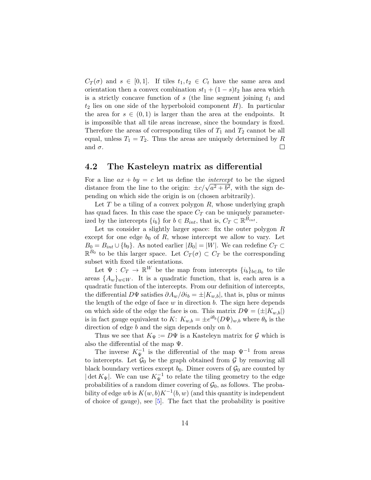$C_T(\sigma)$  and  $s \in [0,1]$ . If tiles  $t_1, t_2 \in C_t$  have the same area and orientation then a convex combination  $st_1 + (1 - s)t_2$  has area which is a strictly concave function of  $s$  (the line segment joining  $t_1$  and  $t_2$  lies on one side of the hyperboloid component  $H$ ). In particular the area for  $s \in (0,1)$  is larger than the area at the endpoints. It is impossible that all tile areas increase, since the boundary is fixed. Therefore the areas of corresponding tiles of  $T_1$  and  $T_2$  cannot be all equal, unless  $T_1 = T_2$ . Thus the areas are uniquely determined by R and  $\sigma$ .  $\Box$ 

#### <span id="page-13-0"></span>4.2 The Kasteleyn matrix as differential

For a line  $ax + by = c$  let us define the *intercept* to be the signed For a nne  $ax + by = c$  let us denne the *intercept* to be the signed<br>distance from the line to the origin:  $\pm c/\sqrt{a^2 + b^2}$ , with the sign depending on which side the origin is on (chosen arbitrarily).

Let  $T$  be a tiling of a convex polygon  $R$ , whose underlying graph has quad faces. In this case the space  $C_T$  can be uniquely parameterized by the intercepts  $\{i_b\}$  for  $b \in B_{int}$ , that is,  $C_T \subset \mathbb{R}^{B_{int}}$ .

Let us consider a slightly larger space: fix the outer polygon  $R$ except for one edge  $b_0$  of  $R$ , whose intercept we allow to vary. Let  $B_0 = B_{int} \cup \{b_0\}$ . As noted earlier  $|B_0| = |W|$ . We can redefine  $C_T \subset$  $\mathbb{R}^{B_0}$  to be this larger space. Let  $C_T(\sigma) \subset C_T$  be the corresponding subset with fixed tile orientations.

Let  $\Psi: C_T \to \mathbb{R}^W$  be the map from intercepts  $\{i_b\}_{b \in B_0}$  to tile areas  $\{A_w\}_{w\in W}$ . It is a quadratic function, that is, each area is a quadratic function of the intercepts. From our definition of intercepts, the differential D $\Psi$  satisfies  $\partial A_w/\partial i_b = \pm |K_{w,b}|$ , that is, plus or minus the length of the edge of face  $w$  in direction  $b$ . The sign here depends on which side of the edge the face is on. This matrix  $D\Psi = (\pm |K_{w,b}|)$ is in fact gauge equivalent to K:  $K_{w,b} = \pm e^{i\theta_b} (D\Psi)_{w,b}$  where  $\theta_b$  is the direction of edge b and the sign depends only on b.

Thus we see that  $K_{\Psi} := D\Psi$  is a Kasteleyn matrix for  $\mathcal G$  which is also the differential of the map  $\Psi$ .

The inverse  $K_{\Psi}^{-1}$  is the differential of the map  $\Psi^{-1}$  from areas to intercepts. Let  $\mathcal{G}_0$  be the graph obtained from  $\mathcal G$  by removing all black boundary vertices except  $b_0$ . Dimer covers of  $\mathcal{G}_0$  are counted by  $|\det K_{\Psi}|$ . We can use  $K_{\Psi}^{-1}$  to relate the tiling geometry to the edge probabilities of a random dimer covering of  $\mathcal{G}_0$ , as follows. The probability of edge wb is  $K(w, b)K^{-1}(b, w)$  (and this quantity is independent of choice of gauge), see [\[5\]](#page-17-9). The fact that the probability is positive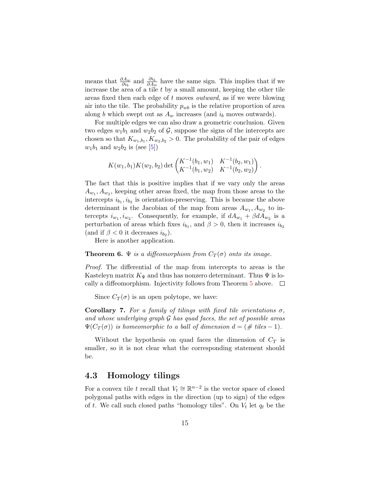means that  $\frac{\partial A_w}{\partial i_b}$  and  $\frac{\partial i_b}{\partial A_w}$  have the same sign. This implies that if we increase the area of a tile  $t$  by a small amount, keeping the other tile areas fixed then each edge of t moves outward, as if we were blowing air into the tile. The probability  $p_{wb}$  is the relative proportion of area along b which swept out as  $A_w$  increases (and  $i_b$  moves outwards).

For multiple edges we can also draw a geometric conclusion. Given two edges  $w_1b_1$  and  $w_2b_2$  of  $\mathcal{G}$ , suppose the signs of the intercepts are chosen so that  $K_{w_1,b_1}, K_{w_2,b_2} > 0$ . The probability of the pair of edges  $w_1b_1$  and  $w_2b_2$  is (see [\[5\]](#page-17-9))

$$
K(w_1, b_1)K(w_2, b_2) \det \begin{pmatrix} K^{-1}(b_1, w_1) & K^{-1}(b_2, w_1) \ K^{-1}(b_1, w_2) & K^{-1}(b_2, w_2) \end{pmatrix}.
$$

The fact that this is positive implies that if we vary only the areas  $A_{w_1}, A_{w_2}$ , keeping other areas fixed, the map from those areas to the intercepts  $i_{b_1}, i_{b_2}$  is orientation-preserving. This is because the above determinant is the Jacobian of the map from areas  $A_{w_1}, A_{w_2}$  to intercepts  $i_{w_1}, i_{w_2}$ . Consequently, for example, if  $dA_{w_1} + \beta dA_{w_2}$  is a perturbation of areas which fixes  $i_{b_1}$ , and  $\beta > 0$ , then it increases  $i_{b_2}$ (and if  $\beta < 0$  it decreases  $i_{b_2}$ ).

Here is another application.

#### <span id="page-14-1"></span>**Theorem 6.**  $\Psi$  is a diffeomorphism from  $C_T(\sigma)$  onto its image.

Proof. The differential of the map from intercepts to areas is the Kasteleyn matrix  $K_{\Psi}$  and thus has nonzero determinant. Thus  $\Psi$  is lo-cally a diffeomorphism. Injectivity follows from Theorem [5](#page-12-1) above.  $\Box$ 

Since  $C_T(\sigma)$  is an open polytope, we have:

<span id="page-14-0"></span>Corollary 7. For a family of tilings with fixed tile orientations  $\sigma$ , and whose underlying graph  $\mathcal G$  has quad faces, the set of possible areas  $\Psi(C_T(\sigma))$  is homeomorphic to a ball of dimension  $d = (\# \text{ tiles} - 1)$ .

Without the hypothesis on quad faces the dimension of  $C_T$  is smaller, so it is not clear what the corresponding statement should be.

#### 4.3 Homology tilings

For a convex tile t recall that  $V_t \cong \mathbb{R}^{n-2}$  is the vector space of closed polygonal paths with edges in the direction (up to sign) of the edges of t. We call such closed paths "homology tiles". On  $V_t$  let  $q_t$  be the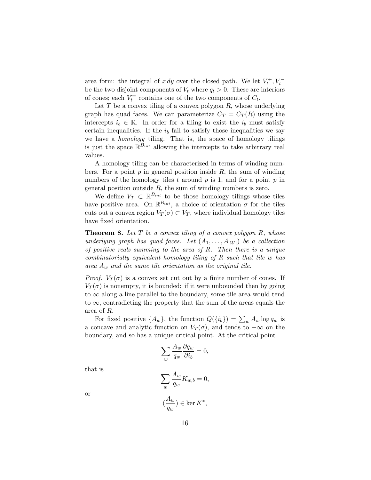area form: the integral of  $x dy$  over the closed path. We let  $V_t^+, V_t^$ be the two disjoint components of  $V_t$  where  $q_t > 0$ . These are interiors of cones; each  $V_t^{\pm}$  contains one of the two components of  $C_t$ .

Let  $T$  be a convex tiling of a convex polygon  $R$ , whose underlying graph has quad faces. We can parameterize  $C_T = C_T(R)$  using the intercepts  $i_b \in \mathbb{R}$ . In order for a tiling to exist the  $i_b$  must satisfy certain inequalities. If the  $i<sub>b</sub>$  fail to satisfy those inequalities we say we have a *homology* tiling. That is, the space of homology tilings is just the space  $\mathbb{R}^{B_{int}}$  allowing the intercepts to take arbitrary real values.

A homology tiling can be characterized in terms of winding numbers. For a point  $p$  in general position inside  $R$ , the sum of winding numbers of the homology tiles t around  $p$  is 1, and for a point  $p$  in general position outside  $R$ , the sum of winding numbers is zero.

We define  $V_T \subset \mathbb{R}^{B_{int}}$  to be those homology tilings whose tiles have positive area. On  $\mathbb{R}^{B_{int}}$ , a choice of orientation  $\sigma$  for the tiles cuts out a convex region  $V_T(\sigma) \subset V_T$ , where individual homology tiles have fixed orientation.

<span id="page-15-0"></span>**Theorem 8.** Let  $T$  be a convex tiling of a convex polygon  $R$ , whose underlying graph has quad faces. Let  $(A_1, \ldots, A_{|W|})$  be a collection of positive reals summing to the area of  $R$ . Then there is a unique combinatorially equivalent homology tiling of R such that tile w has area  $A_w$  and the same tile orientation as the original tile.

*Proof.*  $V_T(\sigma)$  is a convex set cut out by a finite number of cones. If  $V_T(\sigma)$  is nonempty, it is bounded: if it were unbounded then by going to  $\infty$  along a line parallel to the boundary, some tile area would tend to  $\infty$ , contradicting the property that the sum of the areas equals the area of R.

For fixed positive  $\{A_w\}$ , the function  $Q(\{i_b\}) = \sum_w A_w \log q_w$  is a concave and analytic function on  $V_T(\sigma)$ , and tends to  $-\infty$  on the boundary, and so has a unique critical point. At the critical point

$$
\sum_{w} \frac{A_w}{q_w} \frac{\partial q_w}{\partial i_b} = 0,
$$

that is

$$
\sum_{w} \frac{A_w}{q_w} K_{w,b} = 0,
$$

or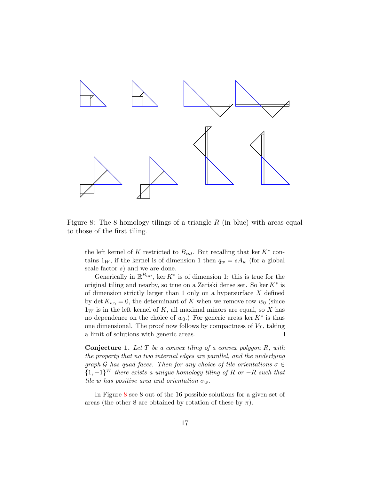

<span id="page-16-1"></span>Figure 8: The 8 homology tilings of a triangle  $R$  (in blue) with areas equal to those of the first tiling.

the left kernel of K restricted to  $B_{int}$ . But recalling that ker  $K^*$  contains  $1_W$ , if the kernel is of dimension 1 then  $q_w = sA_w$  (for a global scale factor s) and we are done.

Generically in  $\mathbb{R}^{B_{int}}$ , ker  $K^*$  is of dimension 1: this is true for the original tiling and nearby, so true on a Zariski dense set. So ker  $K^*$  is of dimension strictly larger than 1 only on a hypersurface  $X$  defined by det  $K_{w_0} = 0$ , the determinant of K when we remove row  $w_0$  (since  $1_W$  is in the left kernel of K, all maximal minors are equal, so X has no dependence on the choice of  $w_0$ .) For generic areas ker  $K^*$  is thus one dimensional. The proof now follows by compactness of  $V_T$ , taking a limit of solutions with generic areas.  $\Box$ 

<span id="page-16-0"></span>**Conjecture 1.** Let  $T$  be a convex tiling of a convex polygon  $R$ , with the property that no two internal edges are parallel, and the underlying graph G has quad faces. Then for any choice of tile orientations  $\sigma \in$  ${1,-1}^W$  there exists a unique homology tiling of R or  $-R$  such that tile w has positive area and orientation  $\sigma_w$ .

In Figure [8](#page-16-1) see 8 out of the 16 possible solutions for a given set of areas (the other 8 are obtained by rotation of these by  $\pi$ ).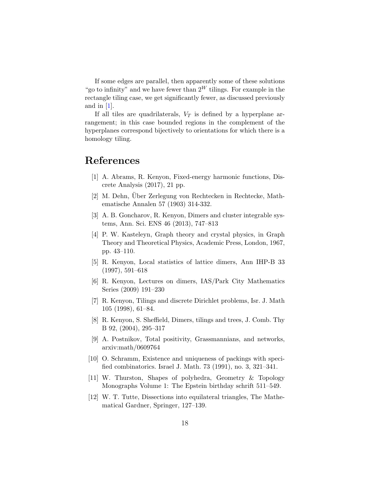If some edges are parallel, then apparently some of these solutions "go to infinity" and we have fewer than  $2^W$  tilings. For example in the rectangle tiling case, we get significantly fewer, as discussed previously and in  $[1]$ .

If all tiles are quadrilaterals,  $V_T$  is defined by a hyperplane arrangement; in this case bounded regions in the complement of the hyperplanes correspond bijectively to orientations for which there is a homology tiling.

# <span id="page-17-5"></span>References

- [1] A. Abrams, R. Kenyon, Fixed-energy harmonic functions, Discrete Analysis (2017), 21 pp.
- <span id="page-17-0"></span>[2] M. Dehn, Über Zerlegung von Rechtecken in Rechtecke, Mathematische Annalen 57 (1903) 314-332.
- [3] A. B. Goncharov, R. Kenyon, Dimers and cluster integrable systems, Ann. Sci. ENS 46 (2013), 747–813
- <span id="page-17-7"></span>[4] P. W. Kasteleyn, Graph theory and crystal physics, in Graph Theory and Theoretical Physics, Academic Press, London, 1967, pp. 43–110.
- <span id="page-17-9"></span>[5] R. Kenyon, Local statistics of lattice dimers, Ann IHP-B 33 (1997), 591–618
- <span id="page-17-6"></span>[6] R. Kenyon, Lectures on dimers, IAS/Park City Mathematics Series (2009) 191–230
- <span id="page-17-2"></span>[7] R. Kenyon, Tilings and discrete Dirichlet problems, Isr. J. Math 105 (1998), 61–84.
- <span id="page-17-3"></span>[8] R. Kenyon, S. Sheffield, Dimers, tilings and trees, J. Comb. Thy B 92, (2004), 295–317
- [9] A. Postnikov, Total positivity, Grassmannians, and networks, arxiv:math/0609764
- <span id="page-17-4"></span>[10] O. Schramm, Existence and uniqueness of packings with specified combinatorics. Israel J. Math. 73 (1991), no. 3, 321–341.
- <span id="page-17-8"></span>[11] W. Thurston, Shapes of polyhedra, Geometry & Topology Monographs Volume 1: The Epstein birthday schrift 511–549.
- <span id="page-17-1"></span>[12] W. T. Tutte, Dissections into equilateral triangles, The Mathematical Gardner, Springer, 127–139.